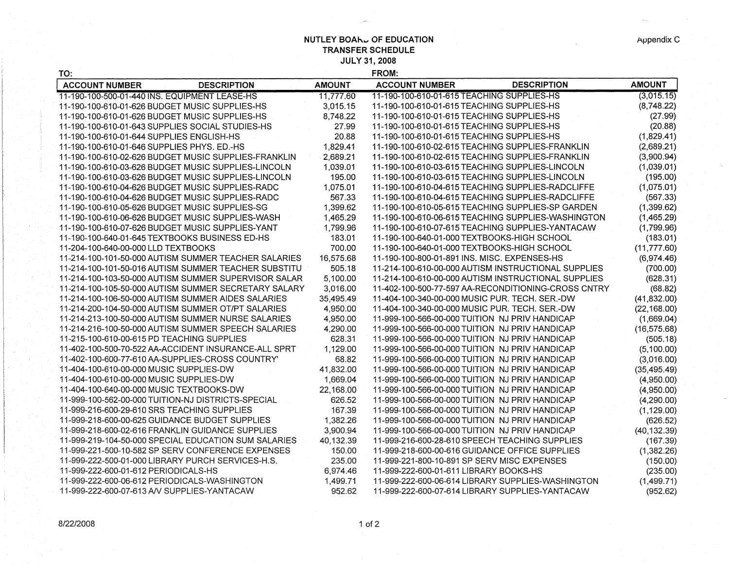**NUTLEY BOAHL OF EDUCATION TRANSFER SCHEDULE JULY 31, 2008** 

| TO:                                              |                                                      |               | <b>FROM:</b>                                      |                                                     |               |
|--------------------------------------------------|------------------------------------------------------|---------------|---------------------------------------------------|-----------------------------------------------------|---------------|
| <b>ACCOUNT NUMBER</b>                            | <b>DESCRIPTION</b>                                   | <b>AMOUNT</b> | <b>ACCOUNT NUMBER</b>                             | <b>DESCRIPTION</b>                                  | <b>AMOUNT</b> |
| 11-190-100-500-01-440 INS, EQUIPMENT LEASE-HS    |                                                      | 11,777.60     | 11-190-100-610-01-615 TEACHING SUPPLIES-HS        |                                                     | (3,015.15)    |
| 11-190-100-610-01-626 BUDGET MUSIC SUPPLIES-HS   |                                                      | 3,015.15      | 11-190-100-610-01-615 TEACHING SUPPLIES-HS        |                                                     | (8,748.22)    |
| 11-190-100-610-01-626 BUDGET MUSIC SUPPLIES-HS   |                                                      | 8,748.22      | 11-190-100-610-01-615 TEACHING SUPPLIES-HS        |                                                     | (27.99)       |
| 11-190-100-610-01-643 SUPPLIES SOCIAL STUDIES-HS |                                                      | 27.99         | 11-190-100-610-01-615 TEACHING SUPPLIES-HS        |                                                     | (20.88)       |
| 11-190-100-610-01-644 SUPPLIES ENGLISH-HS        |                                                      | 20.88         | 11-190-100-610-01-615 TEACHING SUPPLIES-HS        |                                                     | (1,829.41)    |
| 11-190-100-610-01-646 SUPPLIES PHYS. ED.-HS      |                                                      | 1,829.41      | 11-190-100-610-02-615 TEACHING SUPPLIES-FRANKLIN  |                                                     | (2,689.21)    |
|                                                  | 11-190-100-610-02-626 BUDGET MUSIC SUPPLIES-FRANKLIN | 2,689.21      | 11-190-100-610-02-615 TEACHING SUPPLIES-FRANKLIN  |                                                     | (3,900.94)    |
|                                                  | 11-190-100-610-03-626 BUDGET MUSIC SUPPLIES-LINCOLN  | 1,039.01      | 11-190-100-610-03-615 TEACHING SUPPLIES-LINCOLN   |                                                     | (1,039.01)    |
|                                                  | 11-190-100-610-03-626 BUDGET MUSIC SUPPLIES-LINCOLN  | 195.00        | 11-190-100-610-03-615 TEACHING SUPPLIES-LINCOLN   |                                                     | (195.00)      |
|                                                  | 11-190-100-610-04-626 BUDGET MUSIC SUPPLIES-RADC     | 1,075.01      | 11-190-100-610-04-615 TEACHING SUPPLIES-RADCLIFFE |                                                     | (1,075.01)    |
|                                                  | 11-190-100-610-04-626 BUDGET MUSIC SUPPLIES-RADC     | 567.33        | 11-190-100-610-04-615 TEACHING SUPPLIES-RADCLIFFE |                                                     | (567.33)      |
| 11-190-100-610-05-626 BUDGET MUSIC SUPPLIES-SG   |                                                      | 1,399.62      |                                                   | 11-190-100-610-05-615 TEACHING SUPPLIES-SP GARDEN   | (1,399.62)    |
|                                                  | 11-190-100-610-06-626 BUDGET MUSIC SUPPLIES-WASH     | 1,465.29      |                                                   | 11-190-100-610-06-615 TEACHING SUPPLIES-WASHINGTON  | (1,465.29)    |
|                                                  | 11-190-100-610-07-626 BUDGET MUSIC SUPPLIES-YANT     | 1,799.96      | 11-190-100-610-07-615 TEACHING SUPPLIES-YANTACAW  |                                                     | (1,799.96)    |
| 11-190-100-640-01-645 TEXTBOOKS BUSINESS ED-HS   |                                                      | 183.01        | 11-190-100-640-01-000 TEXTBOOKS-HIGH SCHOOL       |                                                     | (183.01)      |
| 11-204-100-640-00-000 LLD TEXTBOOKS              |                                                      | 700.00        | 11-190-100-640-01-000 TEXTBOOKS-HIGH SCHOOL       |                                                     | (11, 777.60)  |
|                                                  | 11-214-100-101-50-000 AUTISM SUMMER TEACHER SALARIES | 16,575.68     | 11-190-100-800-01-891 INS. MISC. EXPENSES-HS      |                                                     | (6,974.46)    |
|                                                  | 11-214-100-101-50-016 AUTISM SUMMER TEACHER SUBSTITU | 505.18        |                                                   | 11-214-100-610-00-000 AUTISM INSTRUCTIONAL SUPPLIES | (700.00)      |
|                                                  | 11-214-100-103-50-000 AUTISM SUMMER SUPERVISOR SALAR | 5,100.00      |                                                   | 11-214-100-610-00-000 AUTISM INSTRUCTIONAL SUPPLIES | (628.31)      |
|                                                  | 11-214-100-105-50-000 AUTISM SUMMER SECRETARY SALARY | 3,016.00      |                                                   | 11-402-100-500-77-597 AA-RECONDITIONING-CROSS CNTRY | (68.82)       |
|                                                  | 11-214-100-106-50-000 AUTISM SUMMER AIDES SALARIES   | 35,495.49     | 11-404-100-340-00-000 MUSIC PUR. TECH. SER.-DW    |                                                     | (41, 832.00)  |
|                                                  | 11-214-200-104-50-000 AUTISM SUMMER OT/PT SALARIES   | 4,950.00      | 11-404-100-340-00-000 MUSIC PUR. TECH. SER.-DW    |                                                     | (22, 168.00)  |
|                                                  | 11-214-213-100-50-000 AUTISM SUMMER NURSE SALARIES   | 4,950.00      | 11-999-100-566-00-000 TUITION NJ PRIV HANDICAP    |                                                     | (1,669.04)    |
|                                                  | 11-214-216-100-50-000 AUTISM SUMMER SPEECH SALARIES  | 4,290.00      | 11-999-100-566-00-000 TUITION NJ PRIV HANDICAP    |                                                     | (16, 575.68)  |
| 11-215-100-610-00-615 PD TEACHING SUPPLIES       |                                                      | 628.31        | 11-999-100-566-00-000 TUITION NJ PRIV HANDICAP    |                                                     | (505.18)      |
|                                                  | 11-402-100-500-70-522 AA-ACCIDENT INSURANCE-ALL SPRT | 1,129.00      | 11-999-100-566-00-000 TUITION NJ PRIV HANDICAP    |                                                     | (5,100.00)    |
|                                                  | 11-402-100-600-77-610 AA-SUPPLIES-CROSS COUNTRY      | 68.82         | 11-999-100-566-00-000 TUITION NJ PRIV HANDICAP    |                                                     | (3,016.00)    |
| 11-404-100-610-00-000 MUSIC SUPPLIES-DW          |                                                      | 41,832.00     | 11-999-100-566-00-000 TUITION NJ PRIV HANDICAP    |                                                     | (35, 495.49)  |
| 11-404-100-610-00-000 MUSIC SUPPLIES-DW          |                                                      | 1,669.04      | 11-999-100-566-00-000 TUITION NJ PRIV HANDICAP    |                                                     | (4,950.00)    |
| 11-404-100-640-00-000 MUSIC TEXTBOOKS-DW         |                                                      | 22,168.00     | 11-999-100-566-00-000 TUITION NJ PRIV HANDICAP    |                                                     | (4,950.00)    |
|                                                  | 11-999-100-562-00-000 TUITION-NJ DISTRICTS-SPECIAL   | 626.52        | 11-999-100-566-00-000 TUITION NJ PRIV HANDICAP    |                                                     | (4,290.00)    |
| 11-999-216-600-29-610 SRS TEACHING SUPPLIES      |                                                      | 167.39        | 11-999-100-566-00-000 TUITION NJ PRIV HANDICAP    |                                                     | (1, 129.00)   |
| 11-999-218-600-00-625 GUIDANCE BUDGET SUPPLIES   |                                                      | 1,382.26      | 11-999-100-566-00-000 TUITION NJ PRIV HANDICAP    |                                                     | (626.52)      |
|                                                  | 11-999-218-600-02-616 FRANKLIN GUIDANCE SUPPLIES     | 3,900.94      | 11-999-100-566-00-000 TUITION NJ PRIV HANDICAP    |                                                     | (40, 132.39)  |
|                                                  | 11-999-219-104-50-000 SPECIAL EDUCATION SUM SALARIES | 40,132.39     | 11-999-216-600-28-610 SPEECH TEACHING SUPPLIES    |                                                     | (167.39)      |
|                                                  | 11-999-221-500-10-582 SP SERV CONFERENCE EXPENSES    | 150.00        | 11-999-218-600-00-616 GUIDANCE OFFICE SUPPLIES    |                                                     | (1,382.26)    |
|                                                  | 11-999-222-500-01-000 LIBRARY PURCH SERVICES-H.S.    | 235.00        | 11-999-221-800-10-891 SP SERV MISC EXPENSES       |                                                     | (150.00)      |
| 11-999-222-600-01-612 PERIODICALS-HS             |                                                      | 6.974.46      | 11-999-222-600-01-611 LIBRARY BOOKS-HS            |                                                     | (235.00)      |

6,974.46 1,499.71 952.62 11-999-222-600-01-611 LIBRARY BOOKS-HS 11-999-222-600-06-614 LIBRARY SUPPLIES-WASHINGTON 11-999-222-600-07-614 LIBRARY SUPPLIES-YANTACAW (1,499.71)

11-999-222-600-06-612 PERIODICALS-WASHINGTON 11-999-222-600-07-613A/V SUPPLIES-YANTACAW

Appendix C

(952.62)